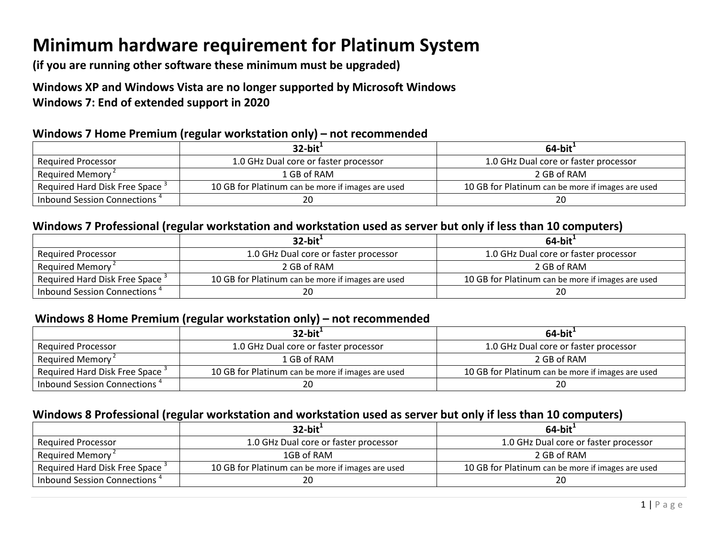# Minimum hardware requirement for Platinum System

(if you are running other software these minimum must be upgraded)

# Windows XP and Windows Vista are no longer supported by Microsoft Windows Windows 7: End of extended support in 2020

## Windows 7 Home Premium (regular workstation only) – not recommended

|                                            | $32$ -bit <sup>1</sup>                            | $64$ -bit $^+$                                    |
|--------------------------------------------|---------------------------------------------------|---------------------------------------------------|
| Required Processor                         | 1.0 GHz Dual core or faster processor             | 1.0 GHz Dual core or faster processor             |
| Required Memory <sup>2</sup>               | 1 GB of RAM                                       | 2 GB of RAM                                       |
| Required Hard Disk Free Space <sup>3</sup> | 10 GB for Platinum can be more if images are used | 10 GB for Platinum can be more if images are used |
| Inbound Session Connections <sup>4</sup>   |                                                   | 20                                                |

## Windows 7 Professional (regular workstation and workstation used as server but only if less than 10 computers)

|                                            | $32$ -bit <sup>1</sup>                            | $64$ -bit <sup>1</sup>                            |
|--------------------------------------------|---------------------------------------------------|---------------------------------------------------|
| <b>Required Processor</b>                  | 1.0 GHz Dual core or faster processor             | 1.0 GHz Dual core or faster processor             |
| Required Memory <sup>2</sup>               | 2 GB of RAM                                       | 2 GB of RAM                                       |
| Required Hard Disk Free Space <sup>3</sup> | 10 GB for Platinum can be more if images are used | 10 GB for Platinum can be more if images are used |
| Inbound Session Connections <sup>4</sup>   | 20                                                | 20                                                |

## Windows 8 Home Premium (regular workstation only) – not recommended

|                                            | $32$ -bit <sup>1</sup>                            | $64$ -bit <sup><math>+</math></sup>               |
|--------------------------------------------|---------------------------------------------------|---------------------------------------------------|
| <b>Required Processor</b>                  | 1.0 GHz Dual core or faster processor             | 1.0 GHz Dual core or faster processor             |
| Required Memory <sup>2</sup>               | 1 GB of RAM                                       | 2 GB of RAM                                       |
| Required Hard Disk Free Space <sup>3</sup> | 10 GB for Platinum can be more if images are used | 10 GB for Platinum can be more if images are used |
| Inbound Session Connections <sup>4</sup>   | 20                                                | 20                                                |

## Windows 8 Professional (regular workstation and workstation used as server but only if less than 10 computers)

|                                            | $32$ -bit <sup>1</sup>                            | $64$ -bit <sup>1</sup>                            |
|--------------------------------------------|---------------------------------------------------|---------------------------------------------------|
| Required Processor                         | 1.0 GHz Dual core or faster processor             | 1.0 GHz Dual core or faster processor             |
| Required Memory <sup>2</sup>               | 1GB of RAM                                        | 2 GB of RAM                                       |
| Required Hard Disk Free Space <sup>3</sup> | 10 GB for Platinum can be more if images are used | 10 GB for Platinum can be more if images are used |
| Inbound Session Connections <sup>4</sup>   |                                                   | 20                                                |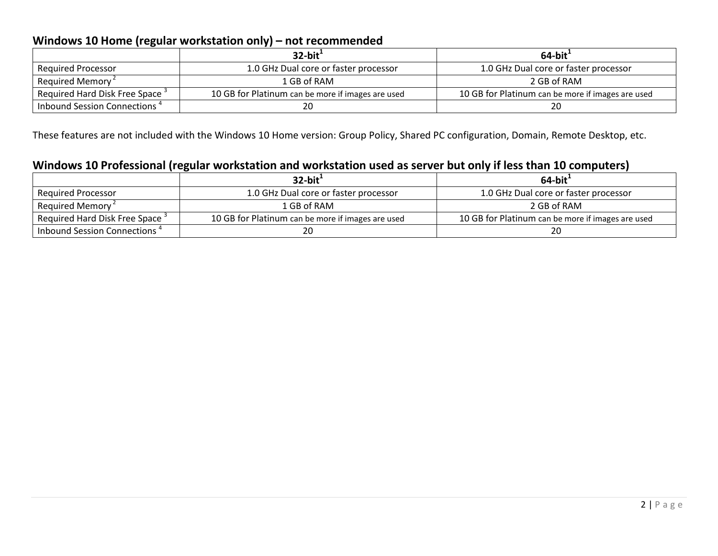## Windows 10 Home (regular workstation only) – not recommended

|                                            | $32$ -bit <sup>1</sup>                            | 64-bit $^1$                                       |
|--------------------------------------------|---------------------------------------------------|---------------------------------------------------|
| <b>Required Processor</b>                  | 1.0 GHz Dual core or faster processor             | 1.0 GHz Dual core or faster processor             |
| Required Memory <sup>2</sup>               | 1 GB of RAM                                       | 2 GB of RAM                                       |
| Required Hard Disk Free Space <sup>3</sup> | 10 GB for Platinum can be more if images are used | 10 GB for Platinum can be more if images are used |
| Inbound Session Connections <sup>4</sup>   | 20                                                | 20                                                |

These features are not included with the Windows 10 Home version: Group Policy, Shared PC configuration, Domain, Remote Desktop, etc.

# Windows 10 Professional (regular workstation and workstation used as server but only if less than 10 computers)

|                                            | $32$ -bit <sup>1</sup>                            | $64$ -bit <sup>1</sup>                            |
|--------------------------------------------|---------------------------------------------------|---------------------------------------------------|
| <b>Required Processor</b>                  | 1.0 GHz Dual core or faster processor             | 1.0 GHz Dual core or faster processor             |
| Required Memory <sup>2</sup>               | 1 GB of RAM                                       | 2 GB of RAM                                       |
| Required Hard Disk Free Space <sup>3</sup> | 10 GB for Platinum can be more if images are used | 10 GB for Platinum can be more if images are used |
| Inbound Session Connections <sup>4</sup>   | 20                                                | ZU                                                |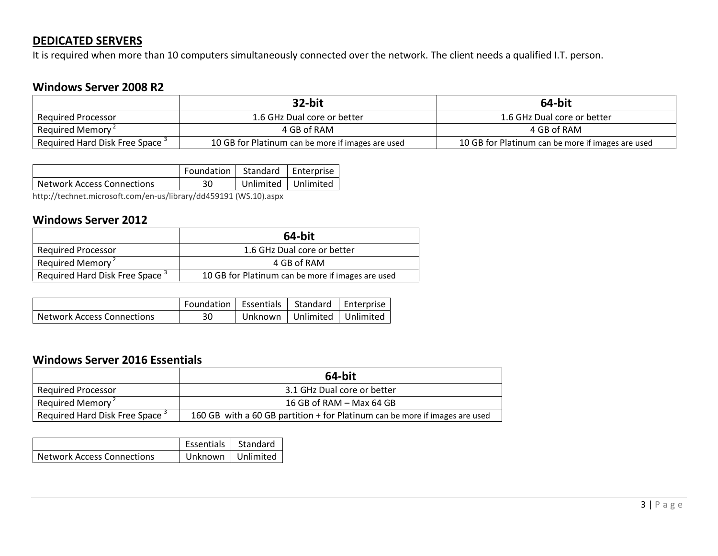## DEDICATED SERVERS

It is required when more than 10 computers simultaneously connected over the network. The client needs a qualified I.T. person.

## Windows Server 2008 R2

|                                            | 32-bit                                            | 64-bit                                            |
|--------------------------------------------|---------------------------------------------------|---------------------------------------------------|
| <b>Required Processor</b>                  | 1.6 GHz Dual core or better                       | 1.6 GHz Dual core or better                       |
| Required Memory <sup>2</sup>               | 4 GB of RAM                                       | 4 GB of RAM                                       |
| Required Hard Disk Free Space <sup>3</sup> | 10 GB for Platinum can be more if images are used | 10 GB for Platinum can be more if images are used |

|                            | Foundation   Standard   Enterprise  |                       |
|----------------------------|-------------------------------------|-----------------------|
| Network Access Connections | 30                                  | Unlimited   Unlimited |
|                            | $1 + 1 - 2 - 3 - 4 - 1 - 1 - 2 - 1$ |                       |

http://technet.microsoft.com/en-us/library/dd459191 (WS.10).aspx

## Windows Server 2012

|                                            | 64-bit                                            |
|--------------------------------------------|---------------------------------------------------|
| Reguired Processor                         | 1.6 GHz Dual core or better                       |
| Required Memory <sup>2</sup>               | 4 GB of RAM                                       |
| Required Hard Disk Free Space <sup>3</sup> | 10 GB for Platinum can be more if images are used |

|                                   | Foundation   Essentials   Standard   Enterprise |         |                       |  |
|-----------------------------------|-------------------------------------------------|---------|-----------------------|--|
| <b>Network Access Connections</b> | 30                                              | Unknown | Unlimited   Unlimited |  |

## Windows Server 2016 Essentials

|                                            | 64-bit                                                                      |
|--------------------------------------------|-----------------------------------------------------------------------------|
| <b>Required Processor</b>                  | 3.1 GHz Dual core or better                                                 |
| Required Memory <sup>2</sup>               | 16 GB of RAM $-$ Max 64 GB                                                  |
| Required Hard Disk Free Space <sup>3</sup> | 160 GB with a 60 GB partition + for Platinum can be more if images are used |

|                            | Essentials   Standard |  |
|----------------------------|-----------------------|--|
| Network Access Connections | Unknown   Unlimited   |  |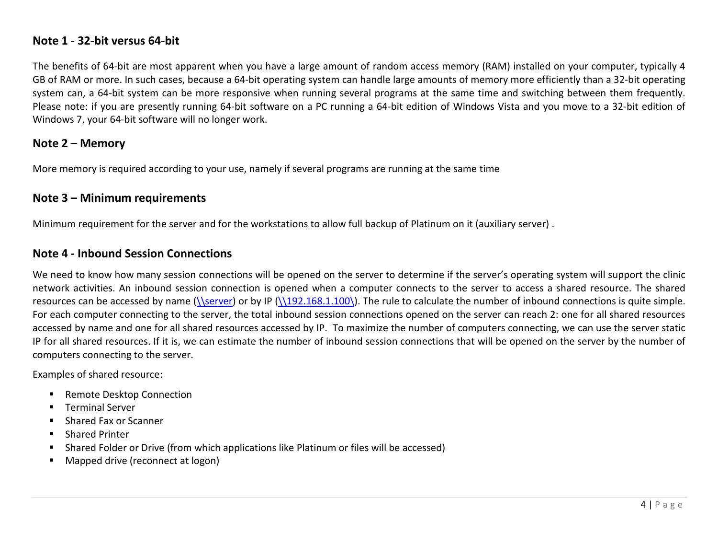## Note 1 - 32-bit versus 64-bit

The benefits of 64-bit are most apparent when you have a large amount of random access memory (RAM) installed on your computer, typically 4 GB of RAM or more. In such cases, because a 64-bit operating system can handle large amounts of memory more efficiently than a 32-bit operating system can, a 64-bit system can be more responsive when running several programs at the same time and switching between them frequently. Please note: if you are presently running 64-bit software on a PC running a 64-bit edition of Windows Vista and you move to a 32-bit edition of Windows 7, your 64-bit software will no longer work.

## Note 2 – Memory

More memory is required according to your use, namely if several programs are running at the same time

## Note 3 – Minimum requirements

Minimum requirement for the server and for the workstations to allow full backup of Platinum on it (auxiliary server) .

## Note 4 - Inbound Session Connections

We need to know how many session connections will be opened on the server to determine if the server's operating system will support the clinic network activities. An inbound session connection is opened when a computer connects to the server to access a shared resource. The shared resources can be accessed by name  $(\text{Serve})$  or by IP  $(\text{SATE})$ . The rule to calculate the number of inbound connections is quite simple. For each computer connecting to the server, the total inbound session connections opened on the server can reach 2: one for all shared resources accessed by name and one for all shared resources accessed by IP. To maximize the number of computers connecting, we can use the server static IP for all shared resources. If it is, we can estimate the number of inbound session connections that will be opened on the server by the number of computers connecting to the server.

Examples of shared resource:

- Remote Desktop Connection
- Terminal Server
- Shared Fax or Scanner
- Shared Printer
- Г Shared Folder or Drive (from which applications like Platinum or files will be accessed)
- Г Mapped drive (reconnect at logon)